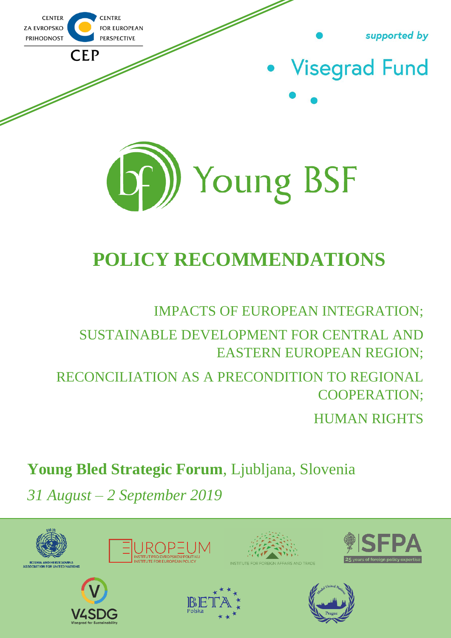

# **POLICY RECOMMENDATIONS**

### IMPACTS OF EUROPEAN INTEGRATION;

TE EOR EOREIGN AFFAIRS AND TRAD

SUSTAINABLE DEVELOPMENT FOR CENTRAL AND EASTERN EUROPEAN REGION;

## RECONCILIATION AS A PRECONDITION TO REGIONAL COOPERATION;

HUMAN RIGHTS

## **Young Bled Strategic Forum**, Ljubljana, Slovenia

*31 August – 2 September 2019*









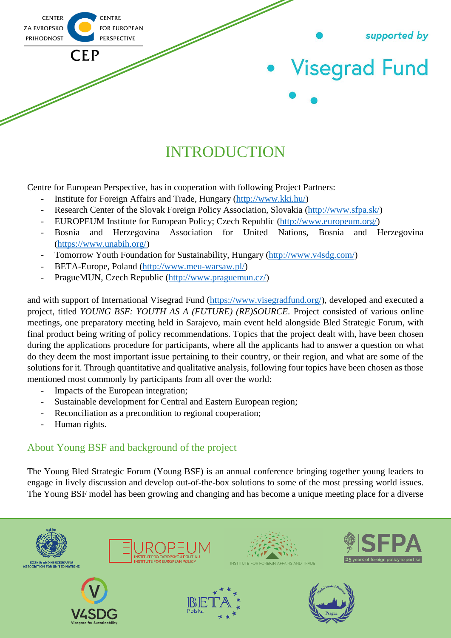

## INTRODUCTION

Centre for European Perspective, has in cooperation with following Project Partners:

- Institute for Foreign Affairs and Trade, Hungary [\(http://www.kki.hu/\)](http://www.kki.hu/)
- Research Center of the Slovak Foreign Policy Association, Slovakia [\(http://www.sfpa.sk/\)](http://www.sfpa.sk/)
- EUROPEUM Institute for European Policy; Czech Republic [\(http://www.europeum.org/\)](http://www.europeum.org/)
- Bosnia and Herzegovina Association for United Nations, Bosnia and Herzegovina [\(https://www.unabih.org/\)](https://www.unabih.org/)
- Tomorrow Youth Foundation for Sustainability, Hungary [\(http://www.v4sdg.com/\)](http://www.v4sdg.com/)
- BETA-Europe, Poland [\(http://www.meu-warsaw.pl/\)](http://www.meu-warsaw.pl/)
- PragueMUN, Czech Republic [\(http://www.praguemun.cz/\)](http://www.praguemun.cz/)

and with support of International Visegrad Fund [\(https://www.visegradfund.org/\)](https://www.visegradfund.org/), developed and executed a project, titled *YOUNG BSF: YOUTH AS A (FUTURE) (RE)SOURCE.* Project consisted of various online meetings, one preparatory meeting held in Sarajevo, main event held alongside Bled Strategic Forum, with final product being writing of policy recommendations. Topics that the project dealt with, have been chosen during the applications procedure for participants, where all the applicants had to answer a question on what do they deem the most important issue pertaining to their country, or their region, and what are some of the solutions for it. Through quantitative and qualitative analysis, following four topics have been chosen as those mentioned most commonly by participants from all over the world:

- Impacts of the European integration;
- Sustainable development for Central and Eastern European region;
- Reconciliation as a precondition to regional cooperation;
- Human rights.

### About Young BSF and background of the project

The Young Bled Strategic Forum (Young BSF) is an annual conference bringing together young leaders to engage in lively discussion and develop out-of-the-box solutions to some of the most pressing world issues. The Young BSF model has been growing and changing and has become a unique meeting place for a diverse

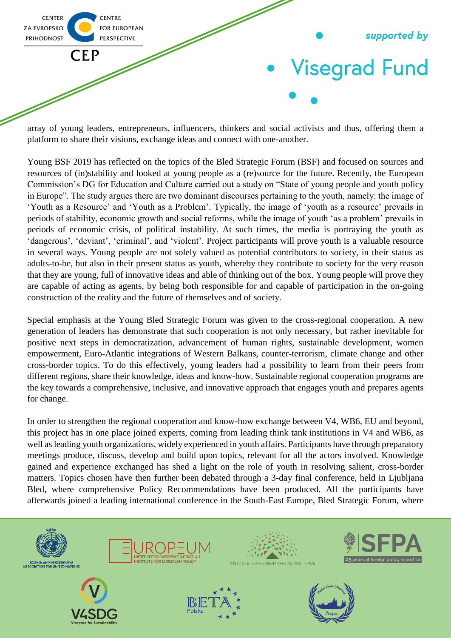

array of young leaders, entrepreneurs, influencers, thinkers and social activists and thus, offering them a platform to share their visions, exchange ideas and connect with one-another.

Young BSF 2019 has reflected on the topics of the Bled Strategic Forum (BSF) and focused on sources and resources of (in)stability and looked at young people as a (re)source for the future. Recently, the European Commission's DG for Education and Culture carried out a study on "State of young people and youth policy in Europe". The study argues there are two dominant discourses pertaining to the youth, namely: the image of 'Youth as a Resource' and 'Youth as a Problem'. Typically, the image of 'youth as a resource' prevails in periods of stability, economic growth and social reforms, while the image of youth 'as a problem' prevails in periods of economic crisis, of political instability. At such times, the media is portraying the youth as 'dangerous', 'deviant', 'criminal', and 'violent'. Project participants will prove youth is a valuable resource in several ways. Young people are not solely valued as potential contributors to society, in their status as adults-to-be, but also in their present status as youth, whereby they contribute to society for the very reason that they are young, full of innovative ideas and able of thinking out of the box. Young people will prove they are capable of acting as agents, by being both responsible for and capable of participation in the on-going construction of the reality and the future of themselves and of society.

Special emphasis at the Young Bled Strategic Forum was given to the cross-regional cooperation. A new generation of leaders has demonstrate that such cooperation is not only necessary, but rather inevitable for positive next steps in democratization, advancement of human rights, sustainable development, women empowerment, Euro-Atlantic integrations of Western Balkans, counter-terrorism, climate change and other cross-border topics. To do this effectively, young leaders had a possibility to learn from their peers from different regions, share their knowledge, ideas and know-how. Sustainable regional cooperation programs are the key towards a comprehensive, inclusive, and innovative approach that engages youth and prepares agents for change.

In order to strengthen the regional cooperation and know-how exchange between V4, WB6, EU and beyond, this project has in one place joined experts, coming from leading think tank institutions in V4 and WB6, as well as leading youth organizations, widely experienced in youth affairs. Participants have through preparatory meetings produce, discuss, develop and build upon topics, relevant for all the actors involved. Knowledge gained and experience exchanged has shed a light on the role of youth in resolving salient, cross-border matters. Topics chosen have then further been debated through a 3-day final conference, held in Ljubljana Bled, where comprehensive Policy Recommendations have been produced. All the participants have afterwards joined a leading international conference in the South-East Europe, Bled Strategic Forum, where

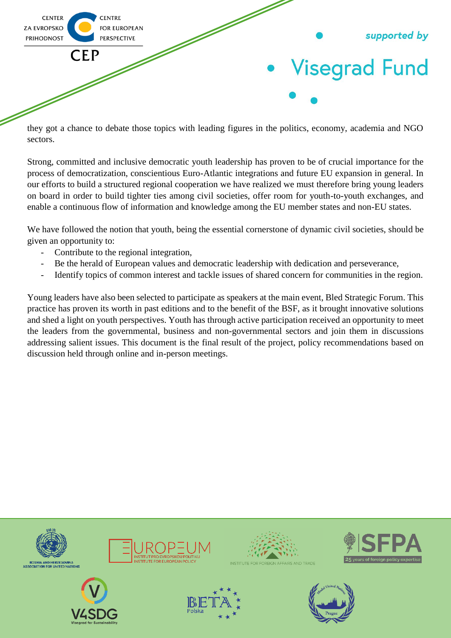

they got a chance to debate those topics with leading figures in the politics, economy, academia and NGO sectors.

Strong, committed and inclusive democratic youth leadership has proven to be of crucial importance for the process of democratization, conscientious Euro-Atlantic integrations and future EU expansion in general. In our efforts to build a structured regional cooperation we have realized we must therefore bring young leaders on board in order to build tighter ties among civil societies, offer room for youth-to-youth exchanges, and enable a continuous flow of information and knowledge among the EU member states and non-EU states.

We have followed the notion that youth, being the essential cornerstone of dynamic civil societies, should be given an opportunity to:

- Contribute to the regional integration,
- Be the herald of European values and democratic leadership with dedication and perseverance,
- Identify topics of common interest and tackle issues of shared concern for communities in the region.

Young leaders have also been selected to participate as speakers at the main event, Bled Strategic Forum. This practice has proven its worth in past editions and to the benefit of the BSF, as it brought innovative solutions and shed a light on youth perspectives. Youth has through active participation received an opportunity to meet the leaders from the governmental, business and non-governmental sectors and join them in discussions addressing salient issues. This document is the final result of the project, policy recommendations based on discussion held through online and in-person meetings.

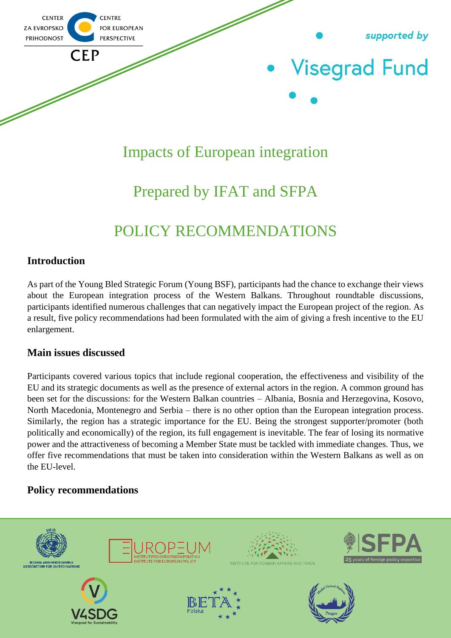

### Impacts of European integration

## Prepared by IFAT and SFPA

## POLICY RECOMMENDATIONS

### **Introduction**

As part of the Young Bled Strategic Forum (Young BSF), participants had the chance to exchange their views about the European integration process of the Western Balkans. Throughout roundtable discussions, participants identified numerous challenges that can negatively impact the European project of the region. As a result, five policy recommendations had been formulated with the aim of giving a fresh incentive to the EU enlargement.

### **Main issues discussed**

Participants covered various topics that include regional cooperation, the effectiveness and visibility of the EU and its strategic documents as well as the presence of external actors in the region. A common ground has been set for the discussions: for the Western Balkan countries – Albania, Bosnia and Herzegovina, Kosovo, North Macedonia, Montenegro and Serbia – there is no other option than the European integration process. Similarly, the region has a strategic importance for the EU. Being the strongest supporter/promoter (both politically and economically) of the region, its full engagement is inevitable. The fear of losing its normative power and the attractiveness of becoming a Member State must be tackled with immediate changes. Thus, we offer five recommendations that must be taken into consideration within the Western Balkans as well as on the EU-level.

### **Policy recommendations**

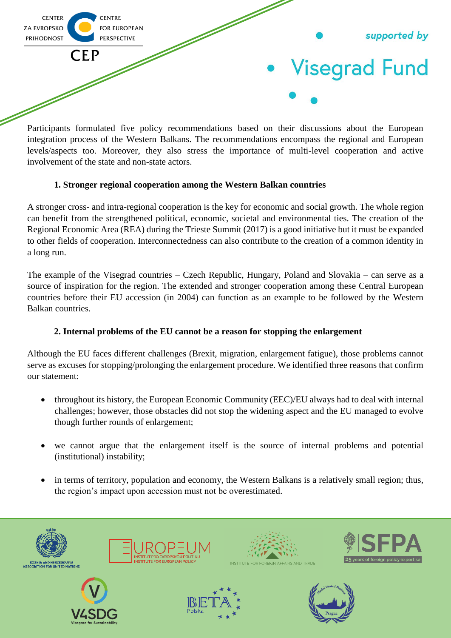

Participants formulated five policy recommendations based on their discussions about the European integration process of the Western Balkans. The recommendations encompass the regional and European levels/aspects too. Moreover, they also stress the importance of multi-level cooperation and active involvement of the state and non-state actors.

### **1. Stronger regional cooperation among the Western Balkan countries**

A stronger cross- and intra-regional cooperation is the key for economic and social growth. The whole region can benefit from the strengthened political, economic, societal and environmental ties. The creation of the Regional Economic Area (REA) during the Trieste Summit (2017) is a good initiative but it must be expanded to other fields of cooperation. Interconnectedness can also contribute to the creation of a common identity in a long run.

The example of the Visegrad countries – Czech Republic, Hungary, Poland and Slovakia – can serve as a source of inspiration for the region. The extended and stronger cooperation among these Central European countries before their EU accession (in 2004) can function as an example to be followed by the Western Balkan countries.

### **2. Internal problems of the EU cannot be a reason for stopping the enlargement**

Although the EU faces different challenges (Brexit, migration, enlargement fatigue), those problems cannot serve as excuses for stopping/prolonging the enlargement procedure. We identified three reasons that confirm our statement:

- throughout its history, the European Economic Community (EEC)/EU always had to deal with internal challenges; however, those obstacles did not stop the widening aspect and the EU managed to evolve though further rounds of enlargement;
- we cannot argue that the enlargement itself is the source of internal problems and potential (institutional) instability;
- in terms of territory, population and economy, the Western Balkans is a relatively small region; thus, the region's impact upon accession must not be overestimated.

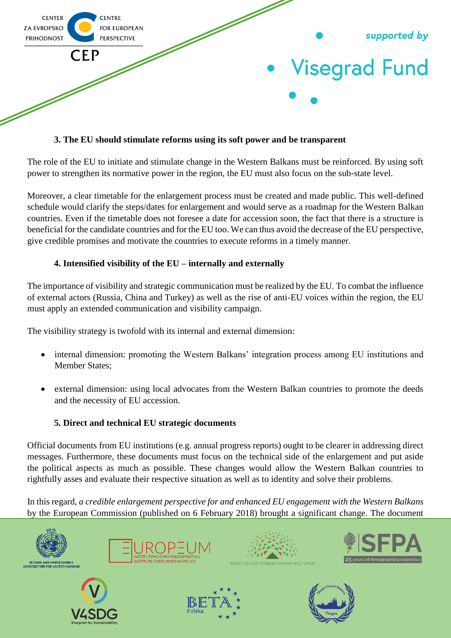

#### **3. The EU should stimulate reforms using its soft power and be transparent**

The role of the EU to initiate and stimulate change in the Western Balkans must be reinforced. By using soft power to strengthen its normative power in the region, the EU must also focus on the sub-state level.

Moreover, a clear timetable for the enlargement process must be created and made public. This well-defined schedule would clarify the steps/dates for enlargement and would serve as a roadmap for the Western Balkan countries. Even if the timetable does not foresee a date for accession soon, the fact that there is a structure is beneficial for the candidate countries and for the EU too. We can thus avoid the decrease of the EU perspective, give credible promises and motivate the countries to execute reforms in a timely manner.

#### **4. Intensified visibility of the EU – internally and externally**

The importance of visibility and strategic communication must be realized by the EU. To combat the influence of external actors (Russia, China and Turkey) as well as the rise of anti-EU voices within the region, the EU must apply an extended communication and visibility campaign.

The visibility strategy is twofold with its internal and external dimension:

- internal dimension: promoting the Western Balkans' integration process among EU institutions and Member States;
- external dimension: using local advocates from the Western Balkan countries to promote the deeds and the necessity of EU accession.

#### **5. Direct and technical EU strategic documents**

Official documents from EU institutions (e.g. annual progress reports) ought to be clearer in addressing direct messages. Furthermore, these documents must focus on the technical side of the enlargement and put aside the political aspects as much as possible. These changes would allow the Western Balkan countries to rightfully asses and evaluate their respective situation as well as to identity and solve their problems.

In this regard, *a credible enlargement perspective for and enhanced EU engagement with the Western Balkans* by the European Commission (published on 6 February 2018) brought a significant change. The document









**STITUTE FOR FOREIGN AFFAIRS AND TRADE** 

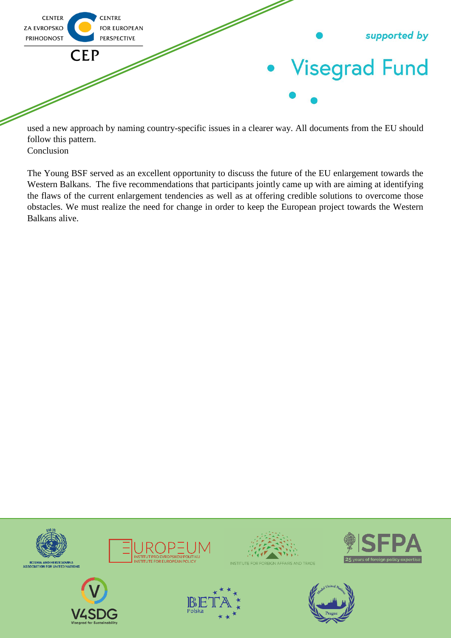

used a new approach by naming country-specific issues in a clearer way. All documents from the EU should follow this pattern. Conclusion

The Young BSF served as an excellent opportunity to discuss the future of the EU enlargement towards the Western Balkans. The five recommendations that participants jointly came up with are aiming at identifying the flaws of the current enlargement tendencies as well as at offering credible solutions to overcome those obstacles. We must realize the need for change in order to keep the European project towards the Western Balkans alive.

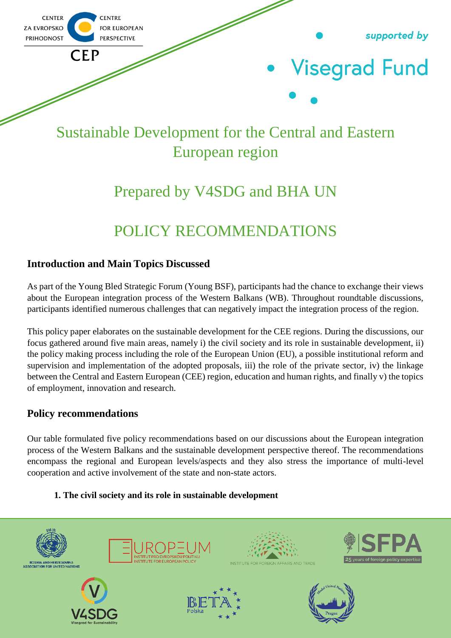

## Sustainable Development for the Central and Eastern European region

## Prepared by V4SDG and BHA UN

## POLICY RECOMMENDATIONS

### **Introduction and Main Topics Discussed**

As part of the Young Bled Strategic Forum (Young BSF), participants had the chance to exchange their views about the European integration process of the Western Balkans (WB). Throughout roundtable discussions, participants identified numerous challenges that can negatively impact the integration process of the region.

This policy paper elaborates on the sustainable development for the CEE regions. During the discussions, our focus gathered around five main areas, namely i) the civil society and its role in sustainable development, ii) the policy making process including the role of the European Union (EU), a possible institutional reform and supervision and implementation of the adopted proposals, iii) the role of the private sector, iv) the linkage between the Central and Eastern European (CEE) region, education and human rights, and finally v) the topics of employment, innovation and research.

### **Policy recommendations**

Our table formulated five policy recommendations based on our discussions about the European integration process of the Western Balkans and the sustainable development perspective thereof. The recommendations encompass the regional and European levels/aspects and they also stress the importance of multi-level cooperation and active involvement of the state and non-state actors.

### **1. The civil society and its role in sustainable development**

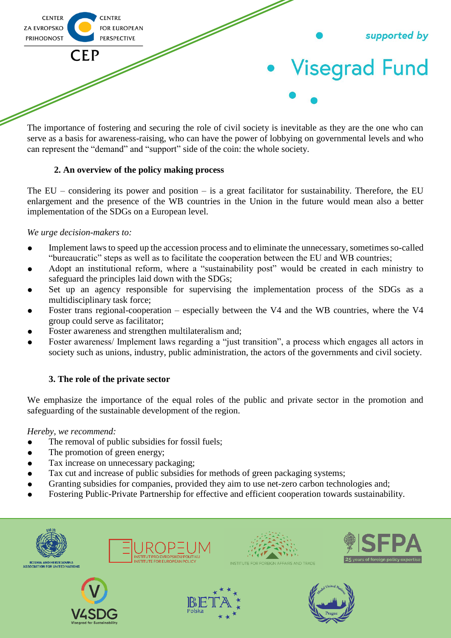

The importance of fostering and securing the role of civil society is inevitable as they are the one who can serve as a basis for awareness-raising, who can have the power of lobbying on governmental levels and who can represent the "demand" and "support" side of the coin: the whole society.

### **2. An overview of the policy making process**

The  $EU$  – considering its power and position – is a great facilitator for sustainability. Therefore, the EU enlargement and the presence of the WB countries in the Union in the future would mean also a better implementation of the SDGs on a European level.

#### *We urge decision-makers to:*

- Implement laws to speed up the accession process and to eliminate the unnecessary, sometimes so-called "bureaucratic" steps as well as to facilitate the cooperation between the EU and WB countries;
- Adopt an institutional reform, where a "sustainability post" would be created in each ministry to safeguard the principles laid down with the SDGs;
- Set up an agency responsible for supervising the implementation process of the SDGs as a multidisciplinary task force;
- Foster trans regional-cooperation especially between the V4 and the WB countries, where the V4 group could serve as facilitator;
- Foster awareness and strengthen multilateralism and;
- Foster awareness/ Implement laws regarding a "just transition", a process which engages all actors in society such as unions, industry, public administration, the actors of the governments and civil society.

#### **3. The role of the private sector**

We emphasize the importance of the equal roles of the public and private sector in the promotion and safeguarding of the sustainable development of the region.

*Hereby, we recommend:*

- The removal of public subsidies for fossil fuels;
- The promotion of green energy;
- Tax increase on unnecessary packaging;
- Tax cut and increase of public subsidies for methods of green packaging systems;
- Granting subsidies for companies, provided they aim to use net-zero carbon technologies and;
- Fostering Public-Private Partnership for effective and efficient cooperation towards sustainability.













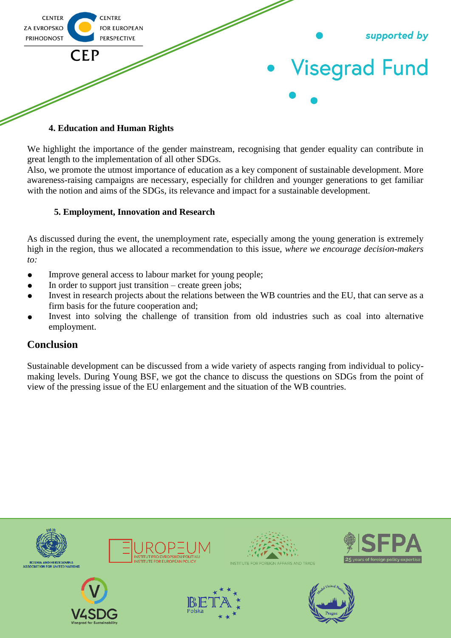

#### **4. Education and Human Rights**

We highlight the importance of the gender mainstream, recognising that gender equality can contribute in great length to the implementation of all other SDGs.

Also, we promote the utmost importance of education as a key component of sustainable development. More awareness-raising campaigns are necessary, especially for children and younger generations to get familiar with the notion and aims of the SDGs, its relevance and impact for a sustainable development.

#### **5. Employment, Innovation and Research**

As discussed during the event, the unemployment rate, especially among the young generation is extremely high in the region, thus we allocated a recommendation to this issue, *where we encourage decision-makers to:*

- Improve general access to labour market for young people;
- In order to support just transition create green jobs;
- Invest in research projects about the relations between the WB countries and the EU, that can serve as a firm basis for the future cooperation and;
- Invest into solving the challenge of transition from old industries such as coal into alternative employment.

### **Conclusion**

Sustainable development can be discussed from a wide variety of aspects ranging from individual to policymaking levels. During Young BSF, we got the chance to discuss the questions on SDGs from the point of view of the pressing issue of the EU enlargement and the situation of the WB countries.

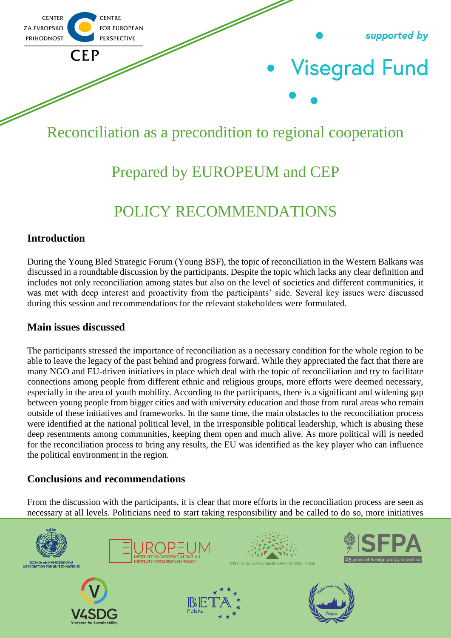

## Reconciliation as a precondition to regional cooperation

### Prepared by EUROPEUM and CEP

## POLICY RECOMMENDATIONS

### **Introduction**

During the Young Bled Strategic Forum (Young BSF), the topic of reconciliation in the Western Balkans was discussed in a roundtable discussion by the participants. Despite the topic which lacks any clear definition and includes not only reconciliation among states but also on the level of societies and different communities, it was met with deep interest and proactivity from the participants' side. Several key issues were discussed during this session and recommendations for the relevant stakeholders were formulated.

### **Main issues discussed**

The participants stressed the importance of reconciliation as a necessary condition for the whole region to be able to leave the legacy of the past behind and progress forward. While they appreciated the fact that there are many NGO and EU-driven initiatives in place which deal with the topic of reconciliation and try to facilitate connections among people from different ethnic and religious groups, more efforts were deemed necessary, especially in the area of youth mobility. According to the participants, there is a significant and widening gap between young people from bigger cities and with university education and those from rural areas who remain outside of these initiatives and frameworks. In the same time, the main obstacles to the reconciliation process were identified at the national political level, in the irresponsible political leadership, which is abusing these deep resentments among communities, keeping them open and much alive. As more political will is needed for the reconciliation process to bring any results, the EU was identified as the key player who can influence the political environment in the region.

### **Conclusions and recommendations**

From the discussion with the participants, it is clear that more efforts in the reconciliation process are seen as necessary at all levels. Politicians need to start taking responsibility and be called to do so, more initiatives

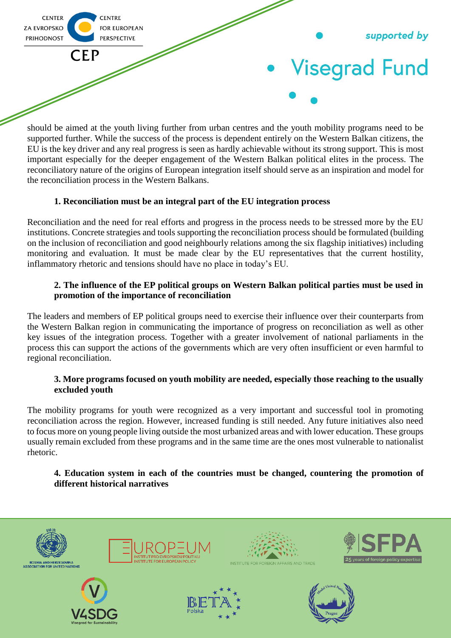

should be aimed at the youth living further from urban centres and the youth mobility programs need to be supported further. While the success of the process is dependent entirely on the Western Balkan citizens, the EU is the key driver and any real progress is seen as hardly achievable without its strong support. This is most important especially for the deeper engagement of the Western Balkan political elites in the process. The reconciliatory nature of the origins of European integration itself should serve as an inspiration and model for the reconciliation process in the Western Balkans.

### **1. Reconciliation must be an integral part of the EU integration process**

Reconciliation and the need for real efforts and progress in the process needs to be stressed more by the EU institutions. Concrete strategies and tools supporting the reconciliation process should be formulated (building on the inclusion of reconciliation and good neighbourly relations among the six flagship initiatives) including monitoring and evaluation. It must be made clear by the EU representatives that the current hostility, inflammatory rhetoric and tensions should have no place in today's EU.

#### **2. The influence of the EP political groups on Western Balkan political parties must be used in promotion of the importance of reconciliation**

The leaders and members of EP political groups need to exercise their influence over their counterparts from the Western Balkan region in communicating the importance of progress on reconciliation as well as other key issues of the integration process. Together with a greater involvement of national parliaments in the process this can support the actions of the governments which are very often insufficient or even harmful to regional reconciliation.

#### **3. More programs focused on youth mobility are needed, especially those reaching to the usually excluded youth**

The mobility programs for youth were recognized as a very important and successful tool in promoting reconciliation across the region. However, increased funding is still needed. Any future initiatives also need to focus more on young people living outside the most urbanized areas and with lower education. These groups usually remain excluded from these programs and in the same time are the ones most vulnerable to nationalist rhetoric.

#### **4. Education system in each of the countries must be changed, countering the promotion of different historical narratives**

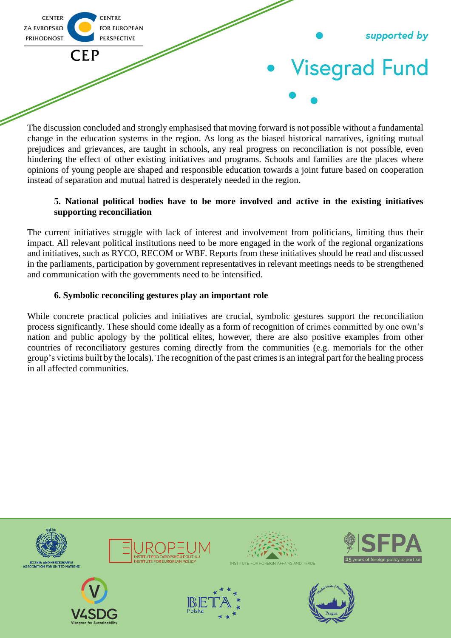

The discussion concluded and strongly emphasised that moving forward is not possible without a fundamental change in the education systems in the region. As long as the biased historical narratives, igniting mutual prejudices and grievances, are taught in schools, any real progress on reconciliation is not possible, even hindering the effect of other existing initiatives and programs. Schools and families are the places where opinions of young people are shaped and responsible education towards a joint future based on cooperation instead of separation and mutual hatred is desperately needed in the region.

#### **5. National political bodies have to be more involved and active in the existing initiatives supporting reconciliation**

The current initiatives struggle with lack of interest and involvement from politicians, limiting thus their impact. All relevant political institutions need to be more engaged in the work of the regional organizations and initiatives, such as RYCO, RECOM or WBF. Reports from these initiatives should be read and discussed in the parliaments, participation by government representatives in relevant meetings needs to be strengthened and communication with the governments need to be intensified.

### **6. Symbolic reconciling gestures play an important role**

While concrete practical policies and initiatives are crucial, symbolic gestures support the reconciliation process significantly. These should come ideally as a form of recognition of crimes committed by one own's nation and public apology by the political elites, however, there are also positive examples from other countries of reconciliatory gestures coming directly from the communities (e.g. memorials for the other group's victims built by the locals). The recognition of the past crimes is an integral part for the healing process in all affected communities.

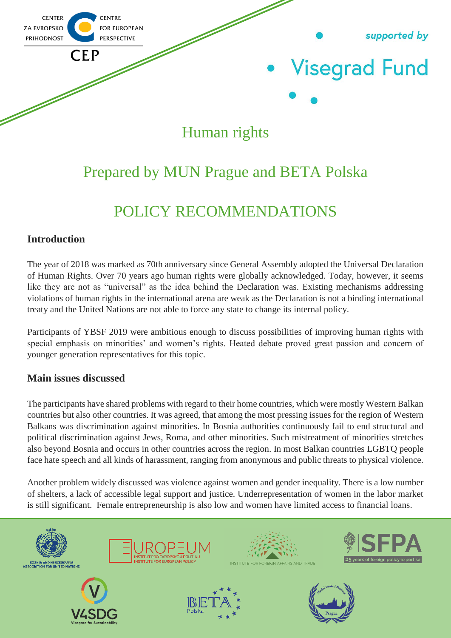

# Human rights

### Prepared by MUN Prague and BETA Polska

## POLICY RECOMMENDATIONS

### **Introduction**

The year of 2018 was marked as 70th anniversary since General Assembly adopted the Universal Declaration of Human Rights. Over 70 years ago human rights were globally acknowledged. Today, however, it seems like they are not as "universal" as the idea behind the Declaration was. Existing mechanisms addressing violations of human rights in the international arena are weak as the Declaration is not a binding international treaty and the United Nations are not able to force any state to change its internal policy.

Participants of YBSF 2019 were ambitious enough to discuss possibilities of improving human rights with special emphasis on minorities' and women's rights. Heated debate proved great passion and concern of younger generation representatives for this topic.

### **Main issues discussed**

The participants have shared problems with regard to their home countries, which were mostly Western Balkan countries but also other countries. It was agreed, that among the most pressing issues for the region of Western Balkans was discrimination against minorities. In Bosnia authorities continuously fail to end structural and political discrimination against Jews, Roma, and other minorities. Such mistreatment of minorities stretches also beyond Bosnia and occurs in other countries across the region. In most Balkan countries LGBTQ people face hate speech and all kinds of harassment, ranging from anonymous and public threats to physical violence.

Another problem widely discussed was violence against women and gender inequality. There is a low number of shelters, a lack of accessible legal support and justice. Underrepresentation of women in the labor market is still significant. Female entrepreneurship is also low and women have limited access to financial loans.

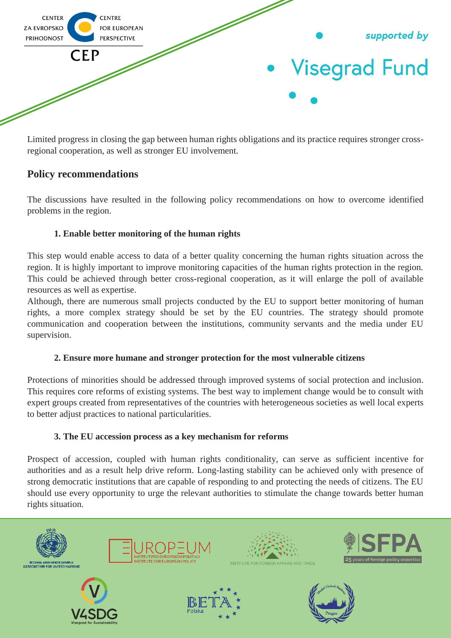

Limited progress in closing the gap between human rights obligations and its practice requires stronger crossregional cooperation, as well as stronger EU involvement.

### **Policy recommendations**

The discussions have resulted in the following policy recommendations on how to overcome identified problems in the region.

### **1. Enable better monitoring of the human rights**

This step would enable access to data of a better quality concerning the human rights situation across the region. It is highly important to improve monitoring capacities of the human rights protection in the region. This could be achieved through better cross-regional cooperation, as it will enlarge the poll of available resources as well as expertise.

Although, there are numerous small projects conducted by the EU to support better monitoring of human rights, a more complex strategy should be set by the EU countries. The strategy should promote communication and cooperation between the institutions, community servants and the media under EU supervision.

### **2. Ensure more humane and stronger protection for the most vulnerable citizens**

Protections of minorities should be addressed through improved systems of social protection and inclusion. This requires core reforms of existing systems. The best way to implement change would be to consult with expert groups created from representatives of the countries with heterogeneous societies as well local experts to better adjust practices to national particularities.

#### **3. The EU accession process as a key mechanism for reforms**

Prospect of accession, coupled with human rights conditionality, can serve as sufficient incentive for authorities and as a result help drive reform. Long-lasting stability can be achieved only with presence of strong democratic institutions that are capable of responding to and protecting the needs of citizens. The EU should use every opportunity to urge the relevant authorities to stimulate the change towards better human rights situation.

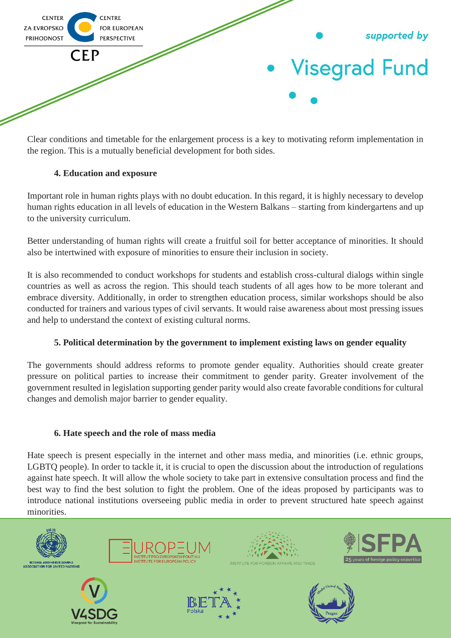

Clear conditions and timetable for the enlargement process is a key to motivating reform implementation in the region. This is a mutually beneficial development for both sides.

### **4. Education and exposure**

Important role in human rights plays with no doubt education. In this regard, it is highly necessary to develop human rights education in all levels of education in the Western Balkans – starting from kindergartens and up to the university curriculum.

Better understanding of human rights will create a fruitful soil for better acceptance of minorities. It should also be intertwined with exposure of minorities to ensure their inclusion in society.

It is also recommended to conduct workshops for students and establish cross-cultural dialogs within single countries as well as across the region. This should teach students of all ages how to be more tolerant and embrace diversity. Additionally, in order to strengthen education process, similar workshops should be also conducted for trainers and various types of civil servants. It would raise awareness about most pressing issues and help to understand the context of existing cultural norms.

### **5. Political determination by the government to implement existing laws on gender equality**

The governments should address reforms to promote gender equality. Authorities should create greater pressure on political parties to increase their commitment to gender parity. Greater involvement of the government resulted in legislation supporting gender parity would also create favorable conditions for cultural changes and demolish major barrier to gender equality.

### **6. Hate speech and the role of mass media**

Hate speech is present especially in the internet and other mass media, and minorities (i.e. ethnic groups, LGBTQ people). In order to tackle it, it is crucial to open the discussion about the introduction of regulations against hate speech. It will allow the whole society to take part in extensive consultation process and find the best way to find the best solution to fight the problem. One of the ideas proposed by participants was to introduce national institutions overseeing public media in order to prevent structured hate speech against minorities.